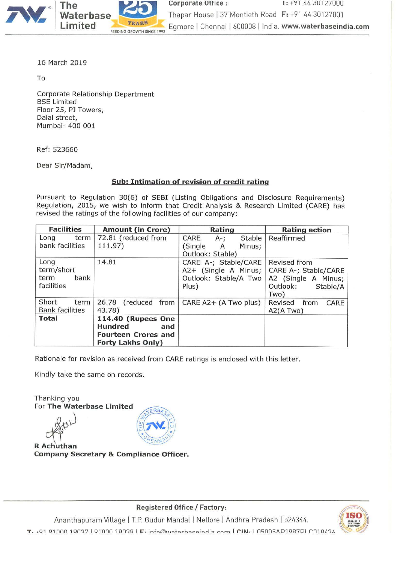

16 March 2019

To

Corporate Relationship Department BSE Limited Floor 25, PJ Towers, Dalal street, Mumbai- 400 001

Ref: 523660

Dear Sir/Madam,

# Sub: Intimation of revision of credit rating

Pursuant to Regulation 30(6) of SEBI (Listing Obligations and Disclosure Requirements) Regulation, 2015, we wish to inform that Credit Analysis & Research Limited (CARE) has revised the ratings of the following facilities of our company:

| <b>Facilities</b><br><b>Amount (in Crore)</b> |                           | Rating                 | <b>Rating action</b>    |
|-----------------------------------------------|---------------------------|------------------------|-------------------------|
| term<br>Long                                  | 72.81 (reduced from       | CARE<br>Stable<br>A-;  | Reaffirmed              |
| bank facilities                               | 111.97)                   | (Single<br>Minus;<br>A |                         |
|                                               |                           | Outlook: Stable)       |                         |
| Long                                          | 14.81                     | CARE A-; Stable/CARE   | Revised from            |
| term/short                                    |                           | A2+ (Single A Minus;   | CARE A-; Stable/CARE    |
| bank<br>term                                  |                           | Outlook: Stable/A Two  | A2 (Single A Minus;     |
| facilities                                    |                           | Plus)                  | Outlook:<br>Stable/A    |
|                                               |                           |                        | Two)                    |
| Short<br>term                                 | 26.78<br>(reduced from    | CARE A2+ (A Two plus)  | Revised<br>from<br>CARE |
| <b>Bank facilities</b>                        | 43.78)                    |                        | A2(A Two)               |
| <b>Total</b>                                  | <b>114.40 (Rupees One</b> |                        |                         |
|                                               | <b>Hundred</b><br>and     |                        |                         |
| <b>Fourteen Crores and</b>                    |                           |                        |                         |
|                                               | <b>Forty Lakhs Only)</b>  |                        |                         |

Rationale for revision as received from CARE ratings is enclosed with this letter.

RR

Kindly take the same on records.

Thanking you For The Waterbase Limited

 $R$  Achuthan Company Secretary & Compliance Officer.



Ananthapuram Village <sup>|</sup> T.P. Gudur Mandal <sup>|</sup> Nellore <sup>|</sup> Andhra Pradesh <sup>|</sup> 524344. T. 101 01000 18037 | 91000 18038 | F. info@waterbaceindia com | CIN. | 050054P1987PI C018434

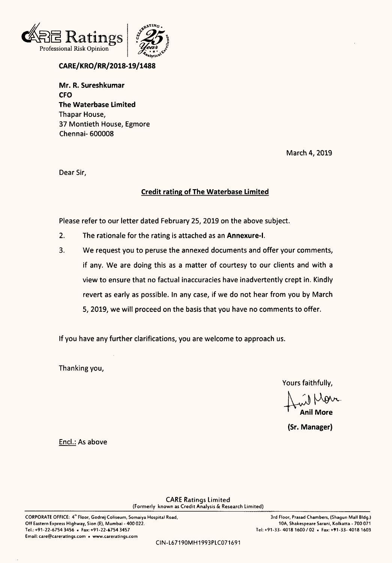



# CARE/KRO/RR/2018-19/1488

Mr. R. Sureshkumar CFO The Waterbase Limited Thapar House, 37 Montieth House, Egmore Chennai- 600008

March 4, 2019

Dear Sir,

# Credit rating of The Waterbase Limited

Please refer to our letter dated February 25, 2019 on the above subject.

- 2. The rationale for the rating is attached as an Annexure-l.
- 3. We request you to peruse the annexed documents and offer your comments, if any. We are doing this as <sup>a</sup> matter of courtesy to our clients and with <sup>a</sup> view to ensure that no factual inaccuracies have inadvertently crept in. Kindly revert as early as possible. In any case, if we do not hear from you by March 5, 2019, we will proceed on the basis that you have no comments to offer.

If you have any further clarifications, you are welcome to approach us.

Thanking you,

Yours faithfully,

w Mon Anil More

(Sr. Manager)

Enc|.: As above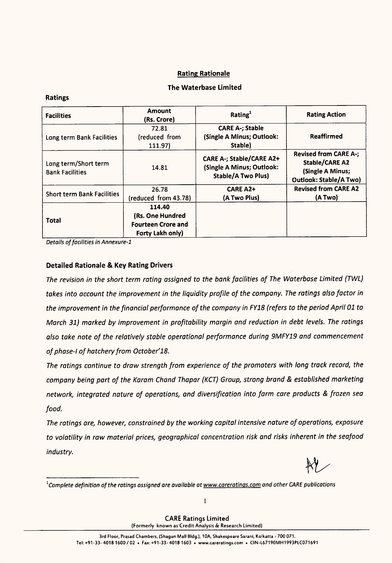# Rating Rationale

# The Waterbase Limited

| <b>Facilities</b>                              | <b>Amount</b><br>(Rs. Crore)                                                | Rating <sup>1</sup>                                                                       | <b>Rating Action</b>                                                                                |
|------------------------------------------------|-----------------------------------------------------------------------------|-------------------------------------------------------------------------------------------|-----------------------------------------------------------------------------------------------------|
|                                                | 72.81                                                                       | <b>CARE A-; Stable</b>                                                                    |                                                                                                     |
| Long term Bank Facilities                      | (reduced from                                                               | (Single A Minus; Outlook:                                                                 | <b>Reaffirmed</b>                                                                                   |
|                                                | 111.97)                                                                     | Stable)                                                                                   |                                                                                                     |
| Long term/Short term<br><b>Bank Facilities</b> | 14.81                                                                       | <b>CARE A-; Stable/CARE A2+</b><br>(Single A Minus; Outlook:<br><b>Stable/A Two Plus)</b> | <b>Revised from CARE A-;</b><br>Stable/CARE A2<br>(Single A Minus;<br><b>Outlook: Stable/A Two)</b> |
|                                                | 26.78                                                                       | <b>CARE A2+</b>                                                                           | <b>Revised from CARE A2</b>                                                                         |
| <b>Short term Bank Facilities</b>              | (reduced from 43.78)                                                        | (A Two Plus)                                                                              | (A Two)                                                                                             |
| Total                                          | 114.40<br>(Rs. One Hundred<br><b>Fourteen Crore and</b><br>Forty Lakh only) |                                                                                           |                                                                                                     |

Details of facilities in Annexure-1

#### Detailed Rationale & Key Rating Drivers

The revision in the short term rating assigned to the bank facilities of The Waterbase Limited (TWL) takes into account the improvement in the liquidity profile of the company. The ratings also factor in the improvement in the financial performance of the company in FY18 (refers to the period April <sup>01</sup> to March 31) marked by improvement in profitability margin and reduction in debt levels. The ratings also take note of the relatively stable operational performance during 9MFY19 and commencement of phase-I of hatchery from October'18.

The ratings continue to draw strength from experience of the promoters with long track record, the company being part of the Karam Chand Thapar (KCT) Group, strong brand & established marketing network, integrated nature of operations, and diversification into farm care products & frozen sea food.

The ratings are, however, constrained by the working capital intensive nature of operations, exposure to volatility in raw material prices, geographical concentration risk and risks inherent in the seafood industry.

M/

<sup>&</sup>lt;sup>1</sup>Complete definition of the ratings assigned are available at www.careratings.com and other CARE publications

CARE Ratings Limited (Formerly known as Credit Analysis & Research Limited)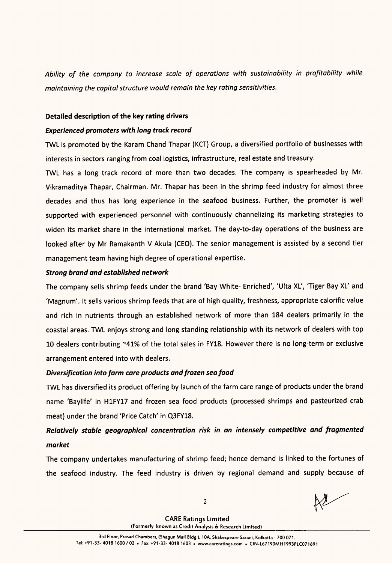Ability of the company to increase scale of operations with sustainability in profitability while maintaining the capital structure would remain the key rating sensitivities.

### Detailed description of the key rating drivers

# Experienced promoters with long track record

TWL is promoted by the Karam Chand Thapar (KCT) Group, <sup>a</sup> diversified portfolio of businesses with interests in sectors ranging from coal logistics, infrastructure, real estate and treasury.

TWL has <sup>a</sup> long track record of more than two decades. The company is spearheaded by Mr. Vikramaditya Thapar, Chairman. Mr. Thapar has been in the shrimp feed industry for almost three decades and thus has long experience in the seafood business. Further, the promoter is well supported with experienced personnel with continuously channelizing its marketing strategies to widen its market share in the international market. The day-to-day operations of the business are looked after by Mr Ramakanth <sup>V</sup> Akula (CEO). The senior management is assisted by <sup>a</sup> second tier management team having high degree of operational expertise.

# Strong brand and established network

The company sells shrimp feeds under the brand 'Bay White- Enriched', 'Ulta XL', 'Tiger Bay XL' and 'Magnum'. It sells various shrimp feeds that are of high quality, freshness, appropriate calorific value and rich in nutrients through an established network of more than 184 dealers primarily in the coastal areas. TWL enjoys strong and long standing relationship with its network of dealers with top <sup>10</sup> dealers contributing ~41% of the total sales in FY18. However there is no long-term or exclusive arrangement entered into with dealers.

# Diversification into farm care products and frozen sea food

TWL has diversified its product offering by launch of the farm care range of products under the brand name 'Baylife' in H1FY17 and frozen sea food products (processed shrimps and pasteurized crab meat) under the brand 'Price Catch' in Q3FY18.

# Relatively stable geographical concentration risk in an intensely competitive and fragmented market

The company undertakes manufacturing of shrimp feed; hence demand is linked to the fortunes of the seafood industry. The feed industry is driven by regional demand and supply because of

2

 $N$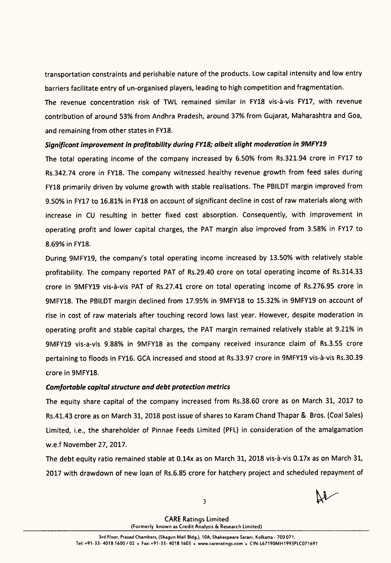transportation constraints and perishable nature of the products. Low capital intensity and low entry barriers facilitate entry of un-organised players, leading to high competition and fragmentation.

The revenue concentration risk of TWL remained similar in FY18 vis-à-vis FY17, with revenue contribution of around 53% from Andhra Pradesh, around 37% from Gujarat, Maharashtra and Goa, and remaining from other states in FY18.

# Significant improvement in profitability during FY18; albeit slight moderation in 9MFY19

The total operating income of the company increased by 6.50% from Rs.321.94 crore in FY17 to Rs.342.74 crore in FY18. The company witnessed healthy revenue growth from feed sales during FY18 primarily driven by volume growth with stable realisations. The PBILDT margin improved from 9.50% in FY17 to 16.81% in FY18 on account of significant decline in cost of raw materials along with increase in CU resulting in better fixed cost absorption. Consequently, with improvement in operating profit and lower capital charges, the PAT margin also improved from 3.58% in FY17 to 8.69% in FY18.

During 9MFY19, the company's total operating income increased by 13.50% with relatively stable profitability. The company reported PAT of Rs.29.40 crore on total operating income of Rs.314.33 crore in 9MFY19 vis-à-vis PAT of Rs.27.41 crore on total operating income of Rs.276.95 crore in 9MFY18. The PBILDT margin declined from 17.95% in 9MFY18 to 15.32% in 9MFY19 on account of rise in cost of raw materials after touching record lows last year. However, despite moderation in operating profit and stable capital charges, the PAT margin remained relatively stable at 9.21% in 9MFY19 vis-a-vis 9.88% in 9MFY18 as the company received insurance claim of Rs.3.55 crore pertaining to floods in FY16. GCA increased and stood at Rs.33.97 crore in 9MFY19 vis-a-vis Rs.30.39 crore in 9MFY18.

# Comfortable capital structure and debt protection metrics

The equity share capital of the company increased from Rs.38.60 crore as on March 31, <sup>2017</sup> to Rs.41.43 crore as on March 31, 2018 post issue of shares to Karam Chand Thapar & Bros. (Coal Sales) Limited, i.e., the shareholder of Pinnae Feeds Limited (PFL) in consideration of the amalgamation w.e.f November 27, 2017.

The debt equity ratio remained stable at 0.14x as on March 31, 2018 vis-a-vis 0.17x as on March 31, 2017 with drawdown of new loan of Rs.6.85 crore for hatchery project and scheduled repayment of

 $3$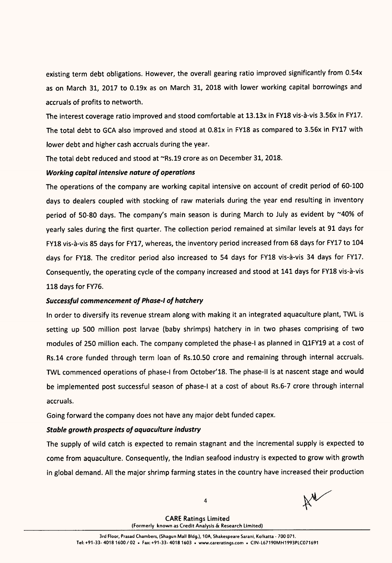existing term debt obligations. However, the overall gearing ratio improved significantly from 0.54x as on March 31, 2017 to 0.19x as on March 31, 2018 with lower working capital borrowings and accruals of profits to networth.

The interest coverage ratio improved and stood comfortable at 13.13x in FY18 vis-à-vis 3.56x in FY17. The total debt to GCA also improved and stood at 0.81x in FY18 as compared to 3.56x in FY17 with lower debt and higher cash accruals during the year.

The total debt reduced and stood at "Rs.19 crore as on December 31, 2018.

# Working capital intensive nature of operations

The operations of the company are working capital intensive on account of credit period of 60-100 days to dealers coupled with stocking of raw materials during the year end resulting in inventory period of 50-80 days. The company's main season is during March to July as evident by ~40% of yearly sales during the first quarter. The collection period remained at similar levels at <sup>91</sup> days for FY18 vis-à-vis 85 days for FY17, whereas, the inventory period increased from 68 days for FY17 to 104 days for FY18. The creditor period also increased to 54 days for FY18 vis-à-vis 34 days for FY17. Consequently, the operating cycle of the company increased and stood at 141 days for FY18 vis-à-vis 118 days for FY76.

# Successful commencement of Phase-l of hatchery

In order to diversify its revenue stream along with making it an integrated aquaculture plant, TWL is setting up <sup>500</sup> million post larvae (baby shrimps) hatchery in in two phases comprising of two modules of 250 million each. The company completed the phase-I as planned in QlFY19 at <sup>a</sup> cost of Rs.14 crore funded through term loan of Rs.10.50 crore and remaining through internal accruals. TWL commenced operations of phase-I from October'18. The phase-II is at nascent stage and would be implemented post successful season of phase-I at a cost of about Rs.6-7 crore through internal accruals.

Going forward the company does not have any major debt funded capex.

# Stable growth prospects of aquaculture industry

The supply of wild catch is expected to remain stagnant and the incremental supply is expected to come from aquaculture. Consequently, the Indian seafood industry is expected to grow with growth in global demand. All the major shrimp farming states in the country have increased their production

 $4$   $\aleph$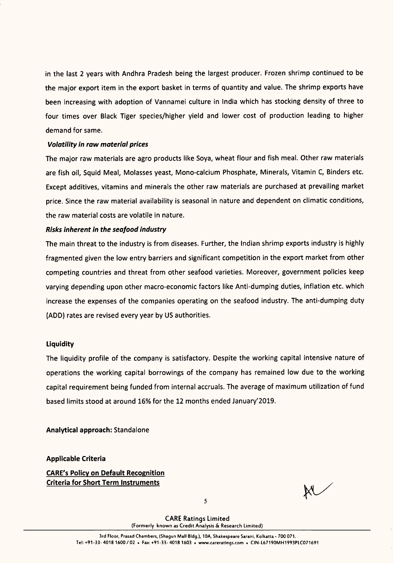in the last <sup>2</sup> years with Andhra Pradesh being the largest producer. Frozen shrimp continued to be the major export item in the export basket in terms of quantity and value. The shrimp exports have been increasing with adoption of Vannamei culture in India which has stocking density of three to four times over Black Tiger species/higher yield and lower cost of production leading to higher demand for same.

#### Volatility in raw material prices

The major raw materials are agro products like Soya, wheat flour and fish meal. Other raw materials are fish oil, Squid Meal, Molasses yeast, Mono-calcium Phosphate, Minerals, Vitamin C, Binders etc. Except additives, vitamins and minerals the other raw materials are purchased at prevailing market price. Since the raw material availability is seasonal in nature and dependent on climatic conditions, the raw material costs are volatile in nature.

#### Risks inherent in the seafood industry

The main threat to the industry is from diseases. Further, the Indian shrimp exports industry is highly fragmented given the low entry barriers and significant competition in the export market from other competing countries and threat from other seafood varieties. Moreover, government policies keep varying depending upon other macro-economic factors like Anti-dumping duties, inflation etc. which increase the expenses of the companies operating on the seafood industry. The anti-dumping duty (ADD) rates are revised every year by US authorities.

#### **Liquidity**

The liquidity profile of the company is satisfactory. Despite the working capital intensive nature of operations the working capital borrowings of the company has remained low due to the working capital requirement being funded from internal accruals. The average of maximum utilization of fund based limits stood at around 16% for the 12 months ended January'2019.

Analytical approach: Standalone

Applicable Criteria

CARE's Policy on Default Recognition Criteria for Short Term Instruments

W

5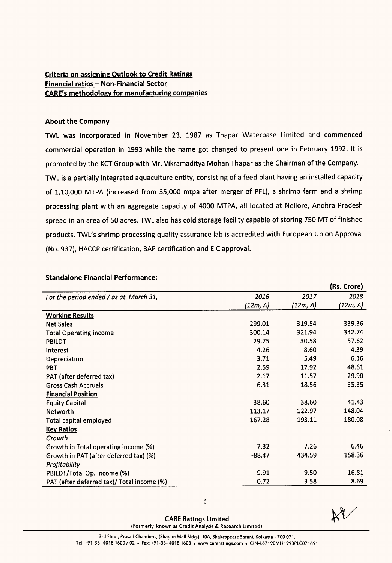# Criteria on assigning Outlook to Credit Ratings <u>Criteria on assigning outlook to order</u><br>Financial ratios – Non-Financial Sector CARE's methodology for manufacturing companies

#### About the Company

TWL was incorporated in November 23, 1987 as Thapar Waterbase Limited and commenced commercial operation in 1993 while the name got changed to present one in February 1992. It is promoted by the KCT Group with Mr. Vikramaditya Mohan Thapar as the Chairman of the Company. TWL is <sup>a</sup> partially integrated aquaculture entity, consisting of <sup>a</sup> feed plant having an installed capacity of 1,10,000 MTPA (increased from 35,000 mtpa after merger of PFL), <sup>a</sup> shrimp farm and <sup>a</sup> shrimp processing plant with an aggregate capacity of 4000 MTPA, all located at Nellore, Andhra Pradesh spread in an area of <sup>50</sup> acres. TWL also has cold storage facility capable of storing <sup>750</sup> MT of finished products. TWL's shrimp processing quality assurance lab is accredited with European Union Approval (No. 937), HACCP certification, BAP certification and EIC approval.

|                                            |          |          | (Rs. Crore) |
|--------------------------------------------|----------|----------|-------------|
| For the period ended / as at March 31,     | 2016     | 2017     | 2018        |
|                                            | (12m, A) | (12m, A) | (12m, A)    |
| <b>Working Results</b>                     |          |          |             |
| <b>Net Sales</b>                           | 299.01   | 319.54   | 339.36      |
| <b>Total Operating income</b>              | 300.14   | 321.94   | 342.74      |
| <b>PBILDT</b>                              | 29.75    | 30.58    | 57.62       |
| Interest                                   | 4.26     | 8.60     | 4.39        |
| Depreciation                               | 3.71     | 5.49     | 6.16        |
| <b>PBT</b>                                 | 2.59     | 17.92    | 48.61       |
| PAT (after deferred tax)                   | 2.17     | 11.57    | 29.90       |
| <b>Gross Cash Accruals</b>                 | 6.31     | 18.56    | 35.35       |
| <b>Financial Position</b>                  |          |          |             |
| <b>Equity Capital</b>                      | 38.60    | 38.60    | 41.43       |
| <b>Networth</b>                            | 113.17   | 122.97   | 148.04      |
| <b>Total capital employed</b>              | 167.28   | 193.11   | 180.08      |
| <b>Key Ratios</b>                          |          |          |             |
| Growth                                     |          |          |             |
| Growth in Total operating income (%)       | 7.32     | 7.26     | 6.46        |
| Growth in PAT (after deferred tax) (%)     | $-88.47$ | 434.59   | 158.36      |
| Profitability                              |          |          |             |
| PBILDT/Total Op. income (%)                | 9.91     | 9.50     | 16.81       |
| PAT (after deferred tax)/ Total income (%) | 0.72     | 3.58     | 8.69        |

# Standalone Financial Performance:

CARE Ratings Limited (Formerly known as Credit Analysis & Research Limited)

6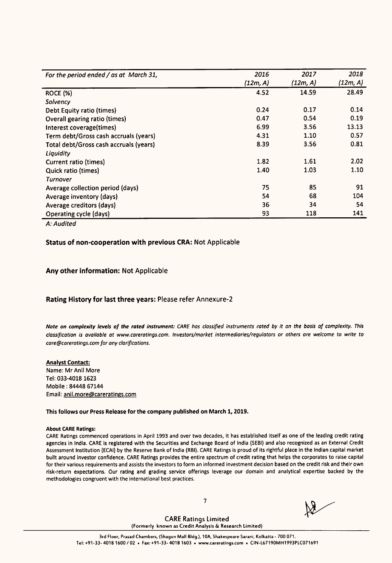| For the period ended / as at March 31, | 2016     | 2017     | 2018     |
|----------------------------------------|----------|----------|----------|
|                                        | (12m, A) | (12m, A) | (12m, A) |
| <b>ROCE (%)</b>                        | 4.52     | 14.59    | 28.49    |
| Solvency                               |          |          |          |
| Debt Equity ratio (times)              | 0.24     | 0.17     | 0.14     |
| Overall gearing ratio (times)          | 0.47     | 0.54     | 0.19     |
| Interest coverage(times)               | 6.99     | 3.56     | 13.13    |
| Term debt/Gross cash accruals (years)  | 4.31     | 1.10     | 0.57     |
| Total debt/Gross cash accruals (years) | 8.39     | 3.56     | 0.81     |
| Liquidity                              |          |          |          |
| Current ratio (times)                  | 1.82     | 1.61     | 2.02     |
| <b>Quick ratio (times)</b>             | 1.40     | 1.03     | 1.10     |
| <b>Turnover</b>                        |          |          |          |
| Average collection period (days)       | 75       | 85       | 91       |
| Average inventory (days)               | 54       | 68       | 104      |
| Average creditors (days)               | 36       | 34       | 54       |
| Operating cycle (days)                 | 93       | 118      | 141      |

A: Audited

#### Status of non-cooperation with previous CRA: Not Applicable

#### Any other information: Not Applicable

#### Rating History for last three years: Please refer Annexure-Z

Note on complexity levels of the rated instrument: CARE has classified instruments rated by it on the basis of complexity. This classification is available at www.careratings.com. Investors/market intermediaries/regulators or others are welcome to write to care@careratings.com for any clarifications.

#### Analyst Contact: Name: Mr Anil More Tel: 033-4018 1623 Mobile : 84448 67144

Email: anil.more@careratings.com

This follows our Press Release for the company published on March 1, 2019.

#### About CARE Ratings:

CARE Ratings commenced operations in April <sup>1993</sup> and over two decades, it has established itself as one of the leading credit rating agencies in India. CARE is registered with the Securities and Exchange Board of India (SEBI) and also recognized as an External Credit Assessment Institution (ECAI) by the Reserve Bank of India (RBI). CARE Ratings is proud of its rightful place in the Indian capital market built around investor confidence. CARE Ratings provides the entire spectrum of credit rating that helps the corporates to raise capital for their various requirements and assists the investors to form an informed investment decision based on the credit risk and their own risk-return expectations. Our rating and grading service offerings leverage our domain and analytical expertise backed by the methodologies congruent with the international best practices.

7

 $\frac{1}{2}$ 

(Formerly known as Credit Analysis 8: Research Limited) CARE Ratings Limited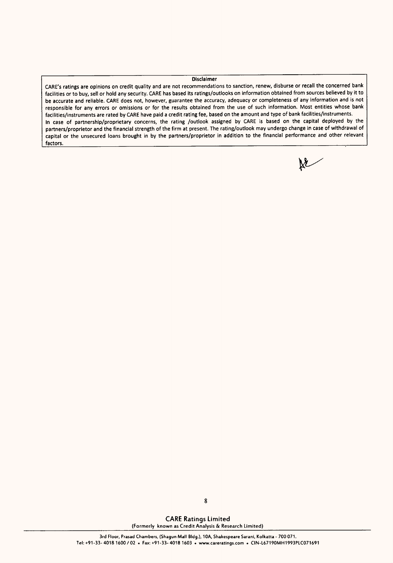#### **Disclaimer**

CARE's ratings are opinions on credit quality and are not recommendations to sanction, renew, disburse or recall the concerned bank facilities or to buy, sell or hold any security. CARE has based its ratings/outlooks on information obtained from sources believed by it to be accurate and reliable. CARE does not, however, guarantee the accuracy, adequacy or completeness of any information and is not responsible for any errors or omissions or for the results obtained from the use of such information. Most entities whose bank facilities/instruments are rated by CARE have paid <sup>a</sup> credit rating fee, based on the amount and type of bank facilities/instruments. In case of partnership/proprietary concerns, the rating /outlook assigned by CARE is based on the capital deployed by the partners/proprietor and the financial strength of the firm at present. The rating/outlook may undergo change in case of withdrawal of capital or the unsecured loans brought in by the partners/proprietor in addition to the financial performance and other relevant factors.

 $\mathbb{X}$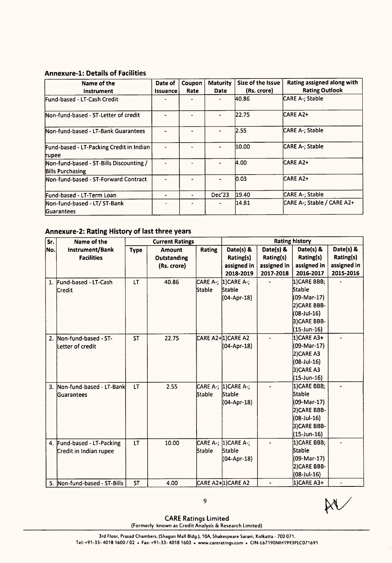# Annexure-l: Details of Facilities

| Name of the<br>Instrument                                   | Date of<br>Issuance | Coupon<br>Rate | <b>Maturity</b><br><b>Date</b> | Size of the Issue<br>(Rs. crore) | Rating assigned along with<br><b>Rating Outlook</b> |
|-------------------------------------------------------------|---------------------|----------------|--------------------------------|----------------------------------|-----------------------------------------------------|
| lFund-based - LT-Cash Credit                                |                     |                |                                | 40.86                            | CARE A-; Stable                                     |
| Mon-fund-based - ST-Letter of credit                        | $\blacksquare$      |                | $\blacksquare$                 | 22.75                            | ICARE A2+                                           |
| Non-fund-based - LT-Bank Guarantees                         |                     |                |                                | 2.55                             | CARE A-; Stable                                     |
| Fund-based - LT-Packing Credit in Indian<br>rupee           | ٠                   |                |                                | 10.00                            | CARE A-; Stable                                     |
| Non-fund-based - ST-Bills Discounting /<br>Bills Purchasing |                     |                |                                | A.OO                             | ICARE A2+                                           |
| Non-fund-based - ST-Forward Contract                        | $\blacksquare$      |                |                                | 0.03                             | ICARE A2+                                           |
| Fund-based - LT-Term Loan                                   |                     |                | Dec'23                         | 19.40                            | CARE A-; Stable                                     |
| Non-fund-based - LT/ ST-Bank<br><b>Guarantees</b>           |                     |                | $\blacksquare$                 | 14.81                            | CARE A-: Stable / CARE A2+                          |

# Annexure-Z: Rating History of last three years

| Sr. | Name of the                  |             | <b>Current Ratings</b> |               |                       |             | <b>Rating history</b> |                |
|-----|------------------------------|-------------|------------------------|---------------|-----------------------|-------------|-----------------------|----------------|
| No. | Instrument/Bank              | <b>Type</b> | <b>Amount</b>          | <b>Rating</b> | Date(s) &             | Date(s) &   | Date(s) &             | Date(s) &      |
|     | <b>Facilities</b>            |             | Outstanding            |               | Rating(s)             | Rating(s)   | Rating(s)             | Rating(s)      |
|     |                              |             | (Rs. crore)            |               | assigned in           | assigned in | assigned in           | assigned in    |
|     |                              |             |                        |               | 2018-2019             | 2017-2018   | 2016-2017             | 2015-2016      |
|     | 1. Fund-based - LT-Cash      | LT          | 40.86                  |               | CARE A-;  1)CARE A-;  |             | 1)CARE BBB;           |                |
|     | lCredit                      |             |                        | <b>Stable</b> | <b>Stable</b>         |             | Stable                |                |
|     |                              |             |                        |               | (04-Apr-18)           |             | (09-Mar-17)           |                |
|     |                              |             |                        |               |                       |             | 2) CARE BBB-          |                |
|     |                              |             |                        |               |                       |             | (08-Jul-16)           |                |
|     |                              |             |                        |               |                       |             | 3)CARE BBB-           |                |
|     |                              |             |                        |               |                       |             | (15-Jun-16)           |                |
| 2.  | Non-fund-based - ST-         | <b>ST</b>   | 22.75                  |               | CARE A2+ 1) CARE A2   |             | 1)CARE A3+            |                |
|     | Letter of credit             |             |                        |               | (04-Apr-18)           |             | (09-Mar-17)           |                |
|     |                              |             |                        |               |                       |             | 2)CARE A3             |                |
|     |                              |             |                        |               |                       |             | (08-Jul-16)           |                |
|     |                              |             |                        |               |                       |             | 3)CARE A3             |                |
|     |                              |             |                        |               |                       |             | (15-Jun-16)           |                |
|     | 3. Non-fund-based - LT-Bank  | LT          | 2.55                   |               | CARE A-;  1) CARE A-; |             | 1) CARE BBB;          | $\overline{a}$ |
|     | Guarantees                   |             |                        | Stable        | Stable                |             | Stable                |                |
|     |                              |             |                        |               | (04-Apr-18)           |             | (09-Mar-17)           |                |
|     |                              |             |                        |               |                       |             | 2) CARE BBB-          |                |
|     |                              |             |                        |               |                       |             | (08-Jul-16)           |                |
|     |                              |             |                        |               |                       |             | 3)CARE BBB-           |                |
|     |                              |             |                        |               |                       |             | (15-Jun-16)           |                |
|     | 4. Fund-based - LT-Packing   | <b>LT</b>   | 10.00                  |               | CARE A-;  1)CARE A-;  |             | 1)CARE BBB;           |                |
|     | Credit in Indian rupee       |             |                        | Stable        | Stable                |             | Stable                |                |
|     |                              |             |                        |               | (04-Apr-18)           |             | (09-Mar-17)           |                |
|     |                              |             |                        |               |                       |             | 2) CARE BBB-          |                |
|     |                              |             |                        |               |                       |             | (08-Jul-16)           |                |
|     | 5. Non-fund-based - ST-Bills | <b>ST</b>   | 4.00                   |               | CARE A2+1)CARE A2     |             | 1)CARE A3+            |                |

CARE Ratings Limited (Formerly known as Credit Analysis 6: Research Limited)  $\mathbb{R}^9$ <br>s Limited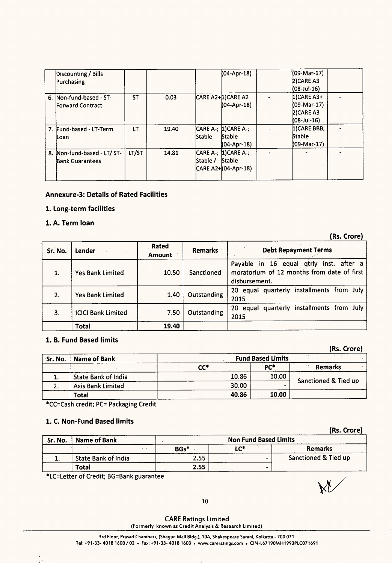|    | Discounting / Bills<br>Purchasing                     |           |       |               | (04-Apr-18)                                            | (09-Mar-17)<br>$2$ CARE A3<br>(08-Jul-16)                   |  |
|----|-------------------------------------------------------|-----------|-------|---------------|--------------------------------------------------------|-------------------------------------------------------------|--|
| 6. | Non-fund-based - ST-<br><b>Forward Contract</b>       | <b>ST</b> | 0.03  |               | CARE A2+1)CARE A2<br>(04-Apr-18)                       | $ 1$ )CARE A3+<br>(09-Mar-17)<br>$2$ CARE A3<br>(08-Jul-16) |  |
|    | 7. Fund-based - LT-Term<br>lLoan                      | LT        | 19.40 | <b>Stable</b> | CARE A-; [1] CARE A-;<br><b>Stable</b><br>(04-Apr-18)  | 1) CARE BBB;<br>Stable<br>(09-Mar-17)                       |  |
|    | 8. Non-fund-based - LT/ ST-<br><b>Bank Guarantees</b> | LT/ST     | 14.81 | Stable /      | CARE A-; [1] CARE A-;<br>Stable<br>CARE A2+(04-Apr-18) |                                                             |  |

#### Annexure-3: Details of Rated Facilities

# 1. Long-term facilities

# 1. A. Term loan

(Rs. Crore)

(Rs. Crore)

W

| Sr. No. | Lender                    | Rated<br><b>Amount</b> | <b>Remarks</b> | <b>Debt Repayment Terms</b>                                                                            |
|---------|---------------------------|------------------------|----------------|--------------------------------------------------------------------------------------------------------|
|         | <b>Yes Bank Limited</b>   | 10.50                  | Sanctioned     | Payable in 16 equal qtrly inst. after a<br>moratorium of 12 months from date of first<br>disbursement. |
| 2.      | <b>Yes Bank Limited</b>   | 1.40                   | Outstanding    | 20 equal quarterly installments from July<br>2015                                                      |
| 3.      | <b>ICICI Bank Limited</b> | 7.50                   | Outstanding    | quarterly installments from July<br><b>20</b><br>equal<br>2015                                         |
|         | <b>Total</b>              | 19.40                  |                |                                                                                                        |

# 1. 8. Fund Based limits

| Sr. No. | Name of Bank               |       | <b>Fund Based Limits</b> |                      |
|---------|----------------------------|-------|--------------------------|----------------------|
|         |                            | CC*   | PC*                      | Remarks              |
| ı.      | <b>State Bank of India</b> | 10.86 | 10.00                    |                      |
| 2.      | <b>Axis Bank Limited</b>   | 30.00 |                          | Sanctioned & Tied up |
|         | <b>Total</b>               | 40.86 | 10.00                    |                      |

\*CC=Cash credit; PC= Packaging Credit

# 1. C. Non-Fund Based limits

ŤΥ

|         |                            |                |                       | (Rs. Crore)          |
|---------|----------------------------|----------------|-----------------------|----------------------|
| Sr. No. | Name of Bank               |                | Non Fund Based Limits |                      |
|         |                            | BGs*<br>$\sim$ | LC*                   | Remarks              |
| ٠.      | <b>State Bank of India</b> | 2.55           |                       | Sanctioned & Tied up |
|         | Total                      | 2.55           | -                     |                      |

\*LC=Letter of Credit; BG=Bank guarantee

10